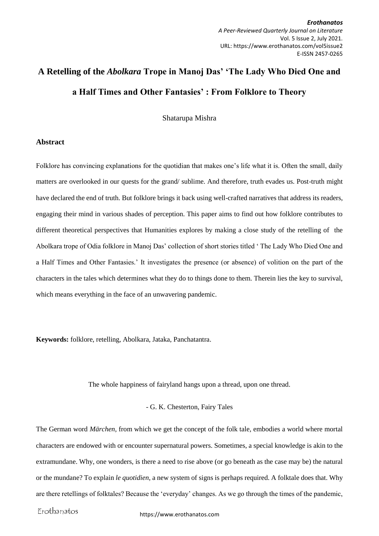*Erothanatos A Peer-Reviewed Quarterly Journal on Literature* Vol. 5 Issue 2, July 2021. URL: https://www.erothanatos.com/vol5issue2 E-ISSN 2457-0265

# **A Retelling of the** *Abolkara* **Trope in Manoj Das' 'The Lady Who Died One and a Half Times and Other Fantasies' : From Folklore to Theory**

Shatarupa Mishra

#### **Abstract**

Folklore has convincing explanations for the quotidian that makes one's life what it is. Often the small, daily matters are overlooked in our quests for the grand/ sublime. And therefore, truth evades us. Post-truth might have declared the end of truth. But folklore brings it back using well-crafted narratives that address its readers, engaging their mind in various shades of perception. This paper aims to find out how folklore contributes to different theoretical perspectives that Humanities explores by making a close study of the retelling of the Abolkara trope of Odia folklore in Manoj Das' collection of short stories titled ' The Lady Who Died One and a Half Times and Other Fantasies.' It investigates the presence (or absence) of volition on the part of the characters in the tales which determines what they do to things done to them. Therein lies the key to survival, which means everything in the face of an unwavering pandemic.

**Keywords:** folklore, retelling, Abolkara, Jataka, Panchatantra.

The whole happiness of fairyland hangs upon a thread, upon one thread.

#### - G. K. Chesterton, Fairy Tales

The German word *Märchen*, from which we get the concept of the folk tale, embodies a world where mortal characters are endowed with or encounter supernatural powers. Sometimes, a special knowledge is akin to the extramundane. Why, one wonders, is there a need to rise above (or go beneath as the case may be) the natural or the mundane? To explain *le quotidien*, a new system of signs is perhaps required. A folktale does that. Why are there retellings of folktales? Because the 'everyday' changes. As we go through the times of the pandemic,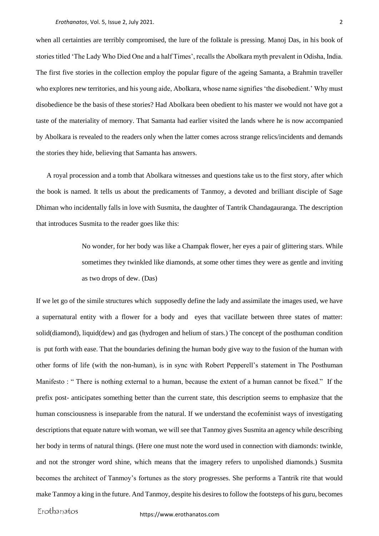when all certainties are terribly compromised, the lure of the folktale is pressing. Manoj Das, in his book of stories titled 'The Lady Who Died One and a half Times', recalls the Abolkara myth prevalent in Odisha, India. The first five stories in the collection employ the popular figure of the ageing Samanta, a Brahmin traveller who explores new territories, and his young aide, Abolkara, whose name signifies 'the disobedient.' Why must disobedience be the basis of these stories? Had Abolkara been obedient to his master we would not have got a taste of the materiality of memory. That Samanta had earlier visited the lands where he is now accompanied by Abolkara is revealed to the readers only when the latter comes across strange relics/incidents and demands the stories they hide, believing that Samanta has answers.

 A royal procession and a tomb that Abolkara witnesses and questions take us to the first story, after which the book is named. It tells us about the predicaments of Tanmoy, a devoted and brilliant disciple of Sage Dhiman who incidentally falls in love with Susmita, the daughter of Tantrik Chandagauranga. The description that introduces Susmita to the reader goes like this:

> No wonder, for her body was like a Champak flower, her eyes a pair of glittering stars. While sometimes they twinkled like diamonds, at some other times they were as gentle and inviting as two drops of dew. (Das)

If we let go of the simile structures which supposedly define the lady and assimilate the images used, we have a supernatural entity with a flower for a body and eyes that vacillate between three states of matter: solid(diamond), liquid(dew) and gas (hydrogen and helium of stars.) The concept of the posthuman condition is put forth with ease. That the boundaries defining the human body give way to the fusion of the human with other forms of life (with the non-human), is in sync with Robert Pepperell's statement in The Posthuman Manifesto : " There is nothing external to a human, because the extent of a human cannot be fixed." If the prefix post- anticipates something better than the current state, this description seems to emphasize that the human consciousness is inseparable from the natural. If we understand the ecofeminist ways of investigating descriptions that equate nature with woman, we will see that Tanmoy gives Susmita an agency while describing her body in terms of natural things. (Here one must note the word used in connection with diamonds: twinkle, and not the stronger word shine, which means that the imagery refers to unpolished diamonds.) Susmita becomes the architect of Tanmoy's fortunes as the story progresses. She performs a Tantrik rite that would make Tanmoy a king in the future. And Tanmoy, despite his desires to follow the footsteps of his guru, becomes

Erothanatos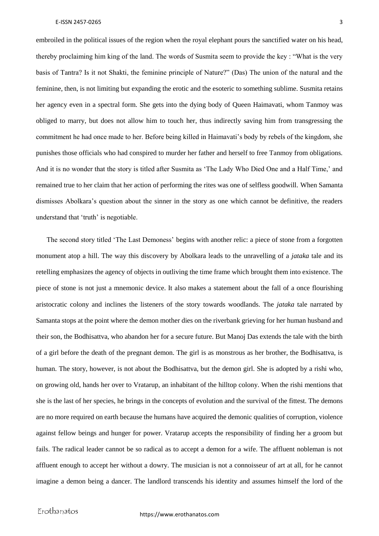embroiled in the political issues of the region when the royal elephant pours the sanctified water on his head, thereby proclaiming him king of the land. The words of Susmita seem to provide the key : "What is the very basis of Tantra? Is it not Shakti, the feminine principle of Nature?" (Das) The union of the natural and the feminine, then, is not limiting but expanding the erotic and the esoteric to something sublime. Susmita retains her agency even in a spectral form. She gets into the dying body of Queen Haimavati, whom Tanmoy was obliged to marry, but does not allow him to touch her, thus indirectly saving him from transgressing the commitment he had once made to her. Before being killed in Haimavati's body by rebels of the kingdom, she punishes those officials who had conspired to murder her father and herself to free Tanmoy from obligations. And it is no wonder that the story is titled after Susmita as 'The Lady Who Died One and a Half Time,' and remained true to her claim that her action of performing the rites was one of selfless goodwill. When Samanta dismisses Abolkara's question about the sinner in the story as one which cannot be definitive, the readers understand that 'truth' is negotiable.

 The second story titled 'The Last Demoness' begins with another relic: a piece of stone from a forgotten monument atop a hill. The way this discovery by Abolkara leads to the unravelling of a *jataka* tale and its retelling emphasizes the agency of objects in outliving the time frame which brought them into existence. The piece of stone is not just a mnemonic device. It also makes a statement about the fall of a once flourishing aristocratic colony and inclines the listeners of the story towards woodlands. The *jataka* tale narrated by Samanta stops at the point where the demon mother dies on the riverbank grieving for her human husband and their son, the Bodhisattva, who abandon her for a secure future. But Manoj Das extends the tale with the birth of a girl before the death of the pregnant demon. The girl is as monstrous as her brother, the Bodhisattva, is human. The story, however, is not about the Bodhisattva, but the demon girl. She is adopted by a rishi who, on growing old, hands her over to Vratarup, an inhabitant of the hilltop colony. When the rishi mentions that she is the last of her species, he brings in the concepts of evolution and the survival of the fittest. The demons are no more required on earth because the humans have acquired the demonic qualities of corruption, violence against fellow beings and hunger for power. Vratarup accepts the responsibility of finding her a groom but fails. The radical leader cannot be so radical as to accept a demon for a wife. The affluent nobleman is not affluent enough to accept her without a dowry. The musician is not a connoisseur of art at all, for he cannot imagine a demon being a dancer. The landlord transcends his identity and assumes himself the lord of the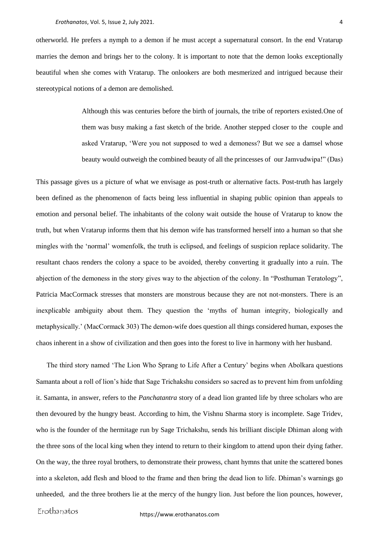otherworld. He prefers a nymph to a demon if he must accept a supernatural consort. In the end Vratarup marries the demon and brings her to the colony. It is important to note that the demon looks exceptionally beautiful when she comes with Vratarup. The onlookers are both mesmerized and intrigued because their stereotypical notions of a demon are demolished.

> Although this was centuries before the birth of journals, the tribe of reporters existed.One of them was busy making a fast sketch of the bride. Another stepped closer to the couple and asked Vratarup, 'Were you not supposed to wed a demoness? But we see a damsel whose beauty would outweigh the combined beauty of all the princesses of our Jamvudwipa!" (Das)

This passage gives us a picture of what we envisage as post-truth or alternative facts. Post-truth has largely been defined as the phenomenon of facts being less influential in shaping public opinion than appeals to emotion and personal belief. The inhabitants of the colony wait outside the house of Vratarup to know the truth, but when Vratarup informs them that his demon wife has transformed herself into a human so that she mingles with the 'normal' womenfolk, the truth is eclipsed, and feelings of suspicion replace solidarity. The resultant chaos renders the colony a space to be avoided, thereby converting it gradually into a ruin. The abjection of the demoness in the story gives way to the abjection of the colony. In "Posthuman Teratology", Patricia MacCormack stresses that monsters are monstrous because they are not not-monsters. There is an inexplicable ambiguity about them. They question the 'myths of human integrity, biologically and metaphysically.' (MacCormack 303) The demon-wife does question all things considered human, exposes the chaos inherent in a show of civilization and then goes into the forest to live in harmony with her husband.

 The third story named 'The Lion Who Sprang to Life After a Century' begins when Abolkara questions Samanta about a roll of lion's hide that Sage Trichakshu considers so sacred as to prevent him from unfolding it. Samanta, in answer, refers to the *Panchatantra* story of a dead lion granted life by three scholars who are then devoured by the hungry beast. According to him, the Vishnu Sharma story is incomplete. Sage Tridev, who is the founder of the hermitage run by Sage Trichakshu, sends his brilliant disciple Dhiman along with the three sons of the local king when they intend to return to their kingdom to attend upon their dying father. On the way, the three royal brothers, to demonstrate their prowess, chant hymns that unite the scattered bones into a skeleton, add flesh and blood to the frame and then bring the dead lion to life. Dhiman's warnings go unheeded, and the three brothers lie at the mercy of the hungry lion. Just before the lion pounces, however,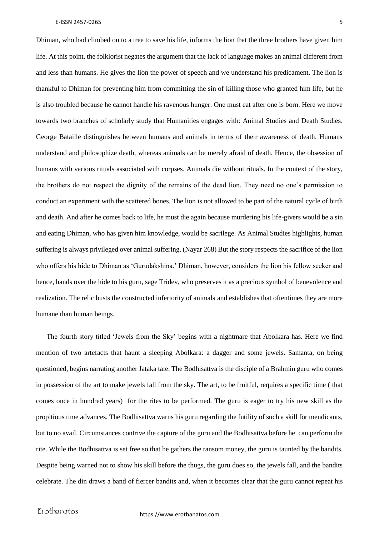Dhiman, who had climbed on to a tree to save his life, informs the lion that the three brothers have given him life. At this point, the folklorist negates the argument that the lack of language makes an animal different from and less than humans. He gives the lion the power of speech and we understand his predicament. The lion is thankful to Dhiman for preventing him from committing the sin of killing those who granted him life, but he is also troubled because he cannot handle his ravenous hunger. One must eat after one is born. Here we move towards two branches of scholarly study that Humanities engages with: Animal Studies and Death Studies. George Bataille distinguishes between humans and animals in terms of their awareness of death. Humans understand and philosophize death, whereas animals can be merely afraid of death. Hence, the obsession of humans with various rituals associated with corpses. Animals die without rituals. In the context of the story, the brothers do not respect the dignity of the remains of the dead lion. They need no one's permission to conduct an experiment with the scattered bones. The lion is not allowed to be part of the natural cycle of birth and death. And after he comes back to life, he must die again because murdering his life-givers would be a sin and eating Dhiman, who has given him knowledge, would be sacrilege. As Animal Studies highlights, human suffering is always privileged over animal suffering. (Nayar 268) But the story respects the sacrifice of the lion who offers his hide to Dhiman as 'Gurudakshina.' Dhiman, however, considers the lion his fellow seeker and hence, hands over the hide to his guru, sage Tridev, who preserves it as a precious symbol of benevolence and realization. The relic busts the constructed inferiority of animals and establishes that oftentimes they are more humane than human beings.

 The fourth story titled 'Jewels from the Sky' begins with a nightmare that Abolkara has. Here we find mention of two artefacts that haunt a sleeping Abolkara: a dagger and some jewels. Samanta, on being questioned, begins narrating another Jataka tale. The Bodhisattva is the disciple of a Brahmin guru who comes in possession of the art to make jewels fall from the sky. The art, to be fruitful, requires a specific time ( that comes once in hundred years) for the rites to be performed. The guru is eager to try his new skill as the propitious time advances. The Bodhisattva warns his guru regarding the futility of such a skill for mendicants, but to no avail. Circumstances contrive the capture of the guru and the Bodhisattva before he can perform the rite. While the Bodhisattva is set free so that he gathers the ransom money, the guru is taunted by the bandits. Despite being warned not to show his skill before the thugs, the guru does so, the jewels fall, and the bandits celebrate. The din draws a band of fiercer bandits and, when it becomes clear that the guru cannot repeat his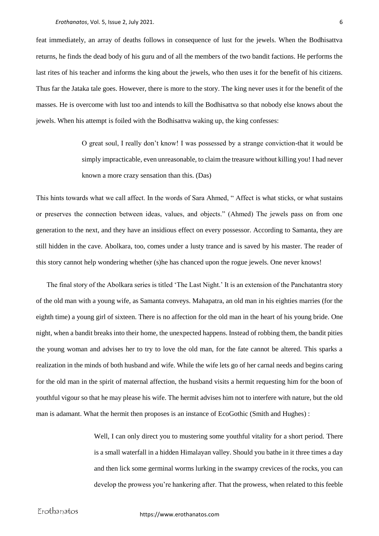feat immediately, an array of deaths follows in consequence of lust for the jewels. When the Bodhisattva returns, he finds the dead body of his guru and of all the members of the two bandit factions. He performs the last rites of his teacher and informs the king about the jewels, who then uses it for the benefit of his citizens. Thus far the Jataka tale goes. However, there is more to the story. The king never uses it for the benefit of the masses. He is overcome with lust too and intends to kill the Bodhisattva so that nobody else knows about the jewels. When his attempt is foiled with the Bodhisattva waking up, the king confesses:

> O great soul, I really don't know! I was possessed by a strange conviction-that it would be simply impracticable, even unreasonable, to claim the treasure without killing you! I had never known a more crazy sensation than this. (Das)

This hints towards what we call affect. In the words of Sara Ahmed, " Affect is what sticks, or what sustains or preserves the connection between ideas, values, and objects." (Ahmed) The jewels pass on from one generation to the next, and they have an insidious effect on every possessor. According to Samanta, they are still hidden in the cave. Abolkara, too, comes under a lusty trance and is saved by his master. The reader of this story cannot help wondering whether (s)he has chanced upon the rogue jewels. One never knows!

 The final story of the Abolkara series is titled 'The Last Night.' It is an extension of the Panchatantra story of the old man with a young wife, as Samanta conveys. Mahapatra, an old man in his eighties marries (for the eighth time) a young girl of sixteen. There is no affection for the old man in the heart of his young bride. One night, when a bandit breaks into their home, the unexpected happens. Instead of robbing them, the bandit pities the young woman and advises her to try to love the old man, for the fate cannot be altered. This sparks a realization in the minds of both husband and wife. While the wife lets go of her carnal needs and begins caring for the old man in the spirit of maternal affection, the husband visits a hermit requesting him for the boon of youthful vigour so that he may please his wife. The hermit advises him not to interfere with nature, but the old man is adamant. What the hermit then proposes is an instance of EcoGothic (Smith and Hughes) :

> Well, I can only direct you to mustering some youthful vitality for a short period. There is a small waterfall in a hidden Himalayan valley. Should you bathe in it three times a day and then lick some germinal worms lurking in the swampy crevices of the rocks, you can develop the prowess you're hankering after. That the prowess, when related to this feeble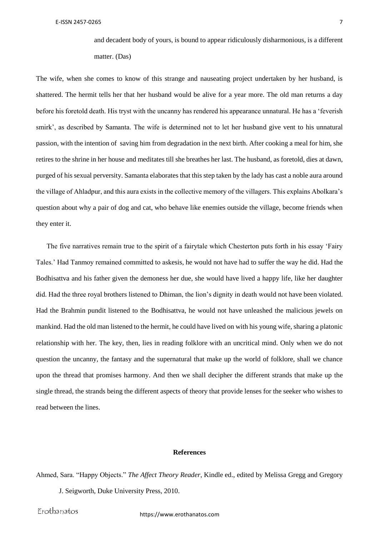and decadent body of yours, is bound to appear ridiculously disharmonious, is a different matter. (Das)

The wife, when she comes to know of this strange and nauseating project undertaken by her husband, is shattered. The hermit tells her that her husband would be alive for a year more. The old man returns a day before his foretold death. His tryst with the uncanny has rendered his appearance unnatural. He has a 'feverish smirk', as described by Samanta. The wife is determined not to let her husband give vent to his unnatural passion, with the intention of saving him from degradation in the next birth. After cooking a meal for him, she retires to the shrine in her house and meditates till she breathes her last. The husband, as foretold, dies at dawn, purged of his sexual perversity. Samanta elaborates that this step taken by the lady has cast a noble aura around the village of Ahladpur, and this aura exists in the collective memory of the villagers. This explains Abolkara's question about why a pair of dog and cat, who behave like enemies outside the village, become friends when they enter it.

 The five narratives remain true to the spirit of a fairytale which Chesterton puts forth in his essay 'Fairy Tales.' Had Tanmoy remained committed to askesis, he would not have had to suffer the way he did. Had the Bodhisattva and his father given the demoness her due, she would have lived a happy life, like her daughter did. Had the three royal brothers listened to Dhiman, the lion's dignity in death would not have been violated. Had the Brahmin pundit listened to the Bodhisattva, he would not have unleashed the malicious jewels on mankind. Had the old man listened to the hermit, he could have lived on with his young wife, sharing a platonic relationship with her. The key, then, lies in reading folklore with an uncritical mind. Only when we do not question the uncanny, the fantasy and the supernatural that make up the world of folklore, shall we chance upon the thread that promises harmony. And then we shall decipher the different strands that make up the single thread, the strands being the different aspects of theory that provide lenses for the seeker who wishes to read between the lines.

#### **References**

Ahmed, Sara. "Happy Objects." *The Affect Theory Reader*, Kindle ed., edited by Melissa Gregg and Gregory J. Seigworth, Duke University Press, 2010.

Erothanatos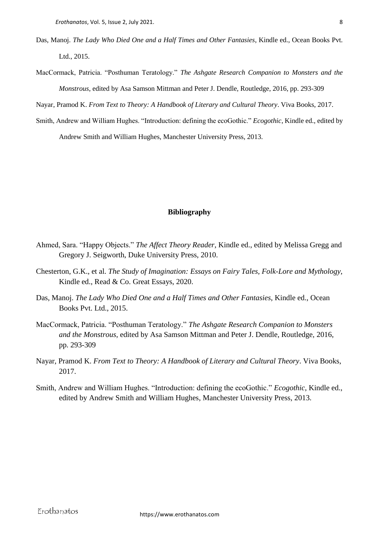- Das, Manoj. *The Lady Who Died One and a Half Times and Other Fantasies*, Kindle ed., Ocean Books Pvt. Ltd., 2015.
- MacCormack, Patricia. "Posthuman Teratology." *The Ashgate Research Companion to Monsters and the Monstrous*, edited by Asa Samson Mittman and Peter J. Dendle, Routledge, 2016, pp. 293-309

Nayar, Pramod K. *From Text to Theory: A Handbook of Literary and Cultural Theory*. Viva Books, 2017.

Smith, Andrew and William Hughes. "Introduction: defining the ecoGothic." *Ecogothic*, Kindle ed., edited by Andrew Smith and William Hughes, Manchester University Press, 2013.

### **Bibliography**

- Ahmed, Sara. "Happy Objects." *The Affect Theory Reader*, Kindle ed., edited by Melissa Gregg and Gregory J. Seigworth, Duke University Press, 2010.
- Chesterton, G.K., et al. *The Study of Imagination: Essays on Fairy Tales, Folk-Lore and Mythology*, Kindle ed., Read & Co. Great Essays, 2020.
- Das, Manoj. *The Lady Who Died One and a Half Times and Other Fantasies*, Kindle ed., Ocean Books Pvt. Ltd., 2015.
- MacCormack, Patricia. "Posthuman Teratology." *The Ashgate Research Companion to Monsters and the Monstrous*, edited by Asa Samson Mittman and Peter J. Dendle, Routledge, 2016, pp. 293-309
- Nayar, Pramod K. *From Text to Theory: A Handbook of Literary and Cultural Theory*. Viva Books, 2017.
- Smith, Andrew and William Hughes. "Introduction: defining the ecoGothic." *Ecogothic*, Kindle ed., edited by Andrew Smith and William Hughes, Manchester University Press, 2013.